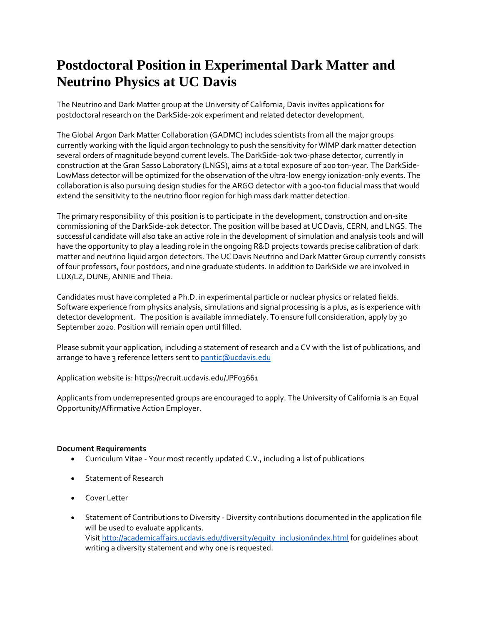# **Postdoctoral Position in Experimental Dark Matter and Neutrino Physics at UC Davis**

The Neutrino and Dark Matter group at the University of California, Davis invites applications for postdoctoral research on the DarkSide-20k experiment and related detector development.

The Global Argon Dark Matter Collaboration (GADMC) includes scientists from all the major groups currently working with the liquid argon technology to push the sensitivity for WIMP dark matter detection several orders of magnitude beyond current levels. The DarkSide-20k two-phase detector, currently in construction at the Gran Sasso Laboratory (LNGS), aims at a total exposure of 200 ton-year. The DarkSide-LowMass detector will be optimized for the observation of the ultra-low energy ionization-only events. The collaboration is also pursuing design studies for the ARGO detector with a 300-ton fiducial mass that would extend the sensitivity to the neutrino floor region for high mass dark matter detection.

The primary responsibility of this position is to participate in the development, construction and on-site commissioning of the DarkSide-20k detector. The position will be based at UC Davis, CERN, and LNGS. The successful candidate will also take an active role in the development of simulation and analysis tools and will have the opportunity to play a leading role in the ongoing R&D projects towards precise calibration of dark matter and neutrino liquid argon detectors. The UC Davis Neutrino and Dark Matter Group currently consists of four professors, four postdocs, and nine graduate students. In addition to DarkSide we are involved in LUX/LZ, DUNE, ANNIE and Theia.

Candidates must have completed a Ph.D. in experimental particle or nuclear physics or related fields. Software experience from physics analysis, simulations and signal processing is a plus, as is experience with detector development. The position is available immediately. To ensure full consideration, apply by 30 September 2020. Position will remain open until filled.

Please submit your application, including a statement of research and a CV with the list of publications, and arrange to have 3 reference letters sent t[o pantic@ucdavis.edu](mailto:pantic@ucdavis.edu)

Application website is: https://recruit.ucdavis.edu/JPF03661

Applicants from underrepresented groups are encouraged to apply. The University of California is an Equal Opportunity/Affirmative Action Employer.

#### **Document Requirements**

- Curriculum Vitae Your most recently updated C.V., including a list of publications
- Statement of Research
- Cover Letter
- Statement of Contributions to Diversity Diversity contributions documented in the application file will be used to evaluate applicants. Visit [http://academicaffairs.ucdavis.edu/diversity/equity\\_inclusion/index.html](http://academicaffairs.ucdavis.edu/diversity/equity_inclusion/index.html) for quidelines about writing a diversity statement and why one is requested.